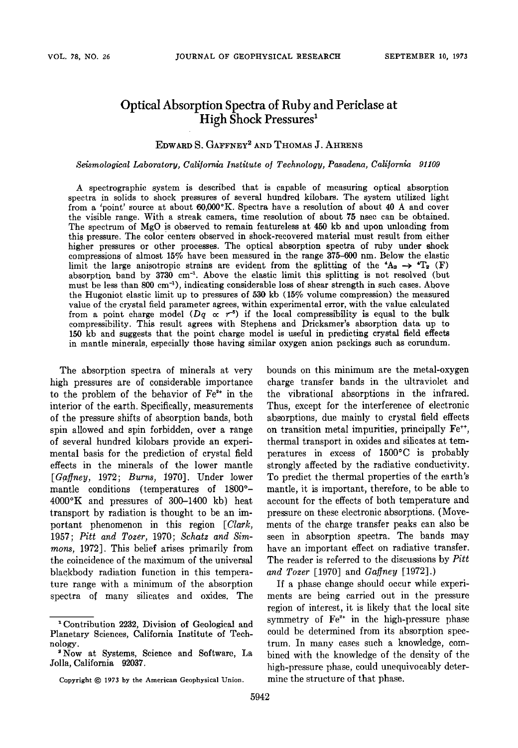# **Optical Absorption Spectra of Ruby and Periclase at High Shock Pressures**

### EDWARD S. GAFFNEY<sup>2</sup> AND THOMAS J. AHRENS

**Seismological Laboratory, Cali]orr•ia Institute o] Technology, Pasadena, California <sup>91109</sup>**

**A spectrographic system is described that is capable of measuring optical absorption spectra in solids to shock pressures of several hundred kilobars. The system utilized light**  from a 'point' source at about  $60,000\textdegree K$ . Spectra have a resolution of about 40 A and cover **the visible range. With a streak camera, time resolution of about 75 nsec can be obtained. The spectrum of MgO is observed to remain featureless at 450 kb and upon unloading from this pressure. The color centers observed in shock-recovered material must result from either higher pressures or other processes. The optical absorption spectra of ruby under shock compressions of almost 15% have been measured in the range 375-600 nm. Below the elastic**  limit the large anisotropic strains are evident from the splitting of the  $A_2 \rightarrow \text{I}_2^T$  (F) absorption band by 3730 cm<sup>-1</sup>. Above the elastic limit this splitting is not resolved (but must be less than 800 cm<sup>-1</sup>), indicating considerable loss of shear strength in such cases. Above **the Hugoniot elastic limit up to pressures of 530 kb (15% volume compression) the measured value of the crystal field parameter agrees, within experimental error, with the value calculated**  from a point charge model  $(Dq \propto r^{-5})$  if the local compressibility is equal to the bulk **compressibility. This result agrees with Stephens and Drickamer's absorption data up to 150 kb and suggests that the point charge model is useful in predicting crystal field effects in mantle minerals, especially those having similar oxygen anion packings such as corundum.** 

**The absorption spectra of minerals at very high pressures are of considerable importance**  to the problem of the behavior of  $Fe^{2+}$  in the **interior of the earth. Specifically, measurements of the pressure shifts of absorption bands, both spin allowed and spin forbidden, over a range of several hundred kilobars provide an experimental basis for the prediction of crystal field effects in the minerals of the lower mantle [Ga.finey, 1972; Burns, 1970]. Under lower**  mantle conditions (temperatures of 1800°-**4000øK and pressures of 300-1400 kb) heat transport by radiation is thought to be an important phenomenon in this region [Clark, 1957; Pitt and Tozer, 1970; Schatz and Simmons, !972]. This belief arises primarily from the coincidence of the maximum of the universal blackbody radiation function in this temperature range with a minimum of the absorption spectra of many silicates and oxides. The** 

**bounds on this. minimum are the metal-oxygen charge transfer bands in the ultraviolet and the vibrational absorptions in the infrared. Thus, except for the interference of electronic absorptions, due mainly to crystal field effects**  on transition metal impurities, principally Fe<sup>++</sup>, **thermal transport in oxides and silicates. at temperatures in excess of 1500øC is probably strongly affected by the radiative conductivity. To predict the thermal properties of the earth's mantle, it is important, therefore, to be able to account for the effects of both temperature and pressure on these electronic absorptions. (Movements of the charge transfer peaks can also be seen in absorption spectra. The bands may have an important effect on radiative transfer. The reader is referred to the discussions by Pitt**  and Tozer [1970] and Gaffney [1972].)

**If a phase change should occur while experiments are being carried out in the pressure region of interest, it is likely that the local site**  symmetry of Fe<sup>2+</sup> in the high-pressure phase **could be determined from its absorption spectrum. In many cases such a knowledge, combined with the knowledge of the density of the high-pressure phase, could unequivocably determine the structure of that phase.** 

**<sup>•</sup> Contribution 2232, Division of Geological and Planetary Sciences, California Institute of Technology.** 

**<sup>•</sup>Now at Systems, Science and Software, La Jolla, California 92037.** 

Copyright  $© 1973$  by the American Geophysical Union.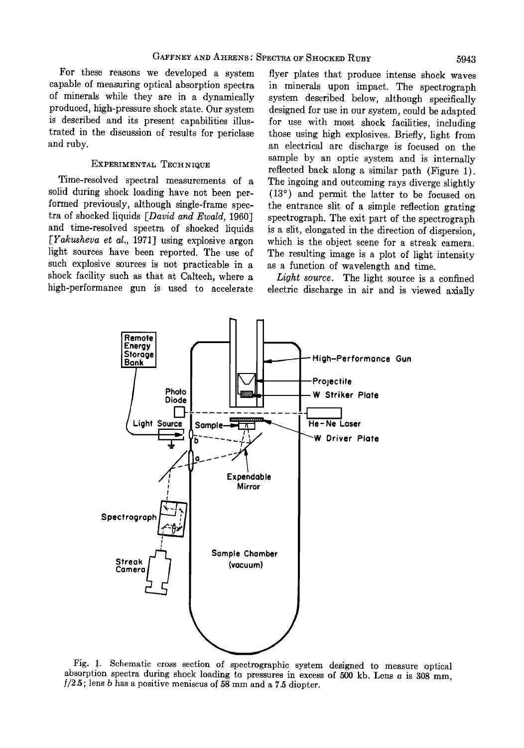**For these reasons we developed a system capable of measuring optical absorption spectra of minerals while they are in a dynamically produced, high-pressure shock state. Our system is described and its present capabilities illustrated in the discussion of results for periclase and ruby.** 

### **EXPERIMENTAL TECHNIQUE**

**Time-resolved spectral measurements of a solid during shock loading have not been performed previously, although single-frame spectra of shocked liquids [David and Ewald, 1960] and time-resolved spectra of shocked liquids**  [*Yakusheva et al.*, 1971] using explosive argon **light sources have been reported. The use of such explosive sources is not practicable in a shock facility such as that at Caltech, where a high-performance gun is used to accelerate** 

**flyer plates that produce intense shock waves in minerals upon impact. The spectrograph system described below, although specifically designed for use in our system, could be adapted for use with most shock facilities, including those using high explosives. Briefly, light from an electrical arc discharge is focused on the sample by an optic system and is internally reflected back along a similar path (Figure 1). The ingoing and outcoming rays diverge slightly (13 ø ) and permit the latter to be focused on the entrance slit of a simple reflection grating spectrograph. The exit part of the spectrograph is a slit, elongated in the direction of dispersion, which is the object scene for a streak camera. The resulting image is a plot of light intensity as a function of wavelength and time.** 

**Light source. The light source is a confined electric discharge in air and is viewed axially** 



**Fig. 1. Schematic cross section of spectrographic system designed to measure optical**  absorption spectra during shock loading to pressures in excess of 500 kb. Lens a is 308 mm, **1/2.5; lens b has a positive meniscus of 58 mm and a 7.5 diopter.**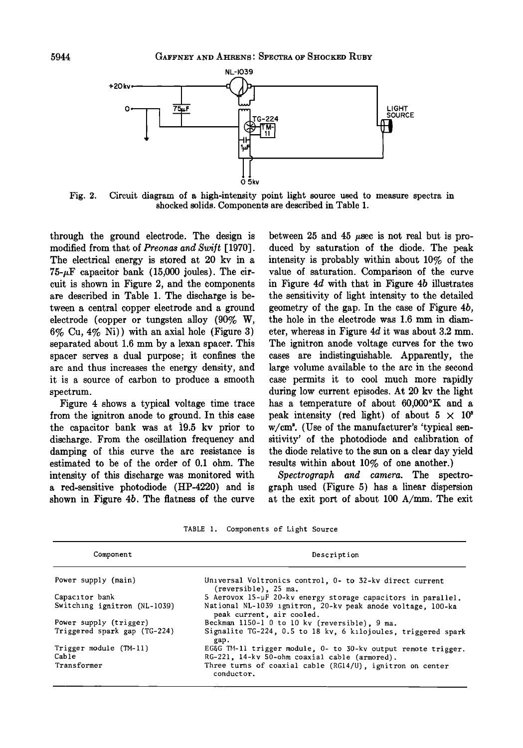

**Fig. 2. Circuit diagram of a high-intensity point light source used to measure spectra in shocked solids. Components are described in Table 1.** 

**through the ground electrode. The design is modified from that of Preonas and Swift [1970]. The electrical energy is stored at 20 kv in a**   $75-\mu$ F capacitor bank  $(15,000)$  joules). The cir**cuit is shown in Figure 2, and the components are described in Table 1. The discharge is between a central copper electrode and a ground electrode (copper or tungsten alloy (90% W, 6% Cu, 4% Ni)) with an axial hole (Figure 3) separated about 1.6 mm by a lexan spacer. This spacer serves a dual purpose; it confines the arc and thus increases the energy density, and it is a source of carbon to produce a smooth spectrum.** 

**Figure 4 shows a typical voltage time trace from the ignitron anode to ground. In this case**  the capacitor bank was at 19.5 kv prior to **discharge. From the oscillation frequency and damping of this curve the arc resistance is estimated to be of the order of 0.1 ohm. The intensity of this discharge was monitored with a red-sensitive photodiode (HP-4220) and is shown in Figure 4b. The flatness of the curve** 

between  $25$  and  $45$   $\mu$ sec is not real but is pro**duced by saturation of the diode. The peak intensity is probably within about 10% of the value of saturation. Comparison of the curve in Figure 4d with that in Figure 4b illustrates the sensitivity of light intensity to the detailed geometry of the gap. In the case of Figure 4b, the hole in the electrode was 1.6 mm in diameter, whereas in Figure 4d it was about 3.2 mm. The ignitron anode voltage curves for the two cases are indistinguishable. Apparently, the large volume available to the arc in the second case permits it to cool much more rapidly during low current episodes. At 20 kv the light**  has a temperature of about 60,000°K and a peak intensity (red light) of about  $5 \times 10^8$ **w/cm =. (Use of the manufacturer's 'typical sensitivity' of the photodiode and calibration of the diode relative to the sun on a clear day yield results within about 10% of one another.)** 

**Spectrograph and camera. The spectrograph used (Figure 5) has a linear dispersion at the exit port of about 100 A/mm. The exit** 

**TABLE 1. Components of Light Source** 

| Component                    | Description                                                                              |  |
|------------------------------|------------------------------------------------------------------------------------------|--|
| Power supply (main)          | Universal Voltronics control, 0- to 32-kv direct current<br>(reversible), 25 ma.         |  |
| Capacitor bank               | 5 Aerovox 15-µF 20-kv energy storage capacitors in parallel.                             |  |
| Switching ignitron (NL-1039) | National NL-1039 ignitron, 20-ky peak anode voltage. 100-ka<br>peak current, air cooled, |  |
| Power supply (trigger)       | Beckman 1150-1 0 to 10 kv (reversible), 9 ma.                                            |  |
| Triggered spark gap (TG-224) | Signalite TG-224, 0.5 to 18 kv, 6 kilojoules, triggered spark<br>gap.                    |  |
| Trigger module (TM-11)       | EG&G TM-11 trigger module, 0- to 30-kv output remote trigger.                            |  |
| Cable                        | RG-221, 14-kv 50-ohm coaxial cable (armored).                                            |  |
| Transformer                  | Three turns of coaxial cable (RG14/U), ignitron on center<br>conductor.                  |  |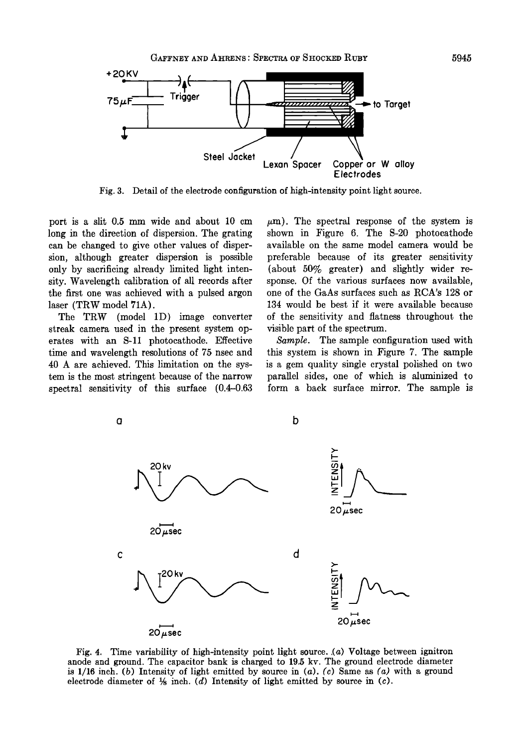

**Fig. 3. Detail of the electrode configuration of high-intensity point light source.** 

**port is a slit 0.5 mm wide and about 10 cm long in the direction of dispersion. The grating can be changed to give other values of dispersion, although greater dispersion is possible only by sacrificing already limited light intensity. Wavelength calibration of all records after the first one was achieved with a pulsed argon laser (TRW model 71A).** 

**The TRW (model 1D) image converter streak camera used in the present system operates with an S-11 photocathode. Effective time and wavelength resolutions of 75 nsec and 40 A are achieved. This limitation on the system is the most stringent because of the narrow spectral sensitivity of this surface (0.4-0.63** 

 $\mu$ m). The spectral response of the system is **shown in Figure 6. The S-20 photocathode available on the same model camera would be preferable because of its greater sensitivity (about 50% greater) and slightly wider response. Of the various surfaces now available, one of the GaAs surfaces such as RCA's 128 or 134 would be best if it were available because of the sensitivity and flatness throughout the visible part of the spectrum.** 

**Sample. The sample configuration used with this system is shown in Figure 7. The sample is a gem quality single crystal polished on two parallel sides, one of which is aluminized to form a back surface mirror. The sample is** 



Fig. 4. Time variability of high-intensity point light source. (a) Voltage between ignitron **anode and ground. The capacitor bank is charged to 19.5 kv. The ground electrode diameter is 1/16 inch. (b) Intensity of light emitted by source in (a). (c) Same as (a) with a ground**  electrode diameter of  $\frac{1}{2}$  inch. (d) Intensity of light emitted by source in (c).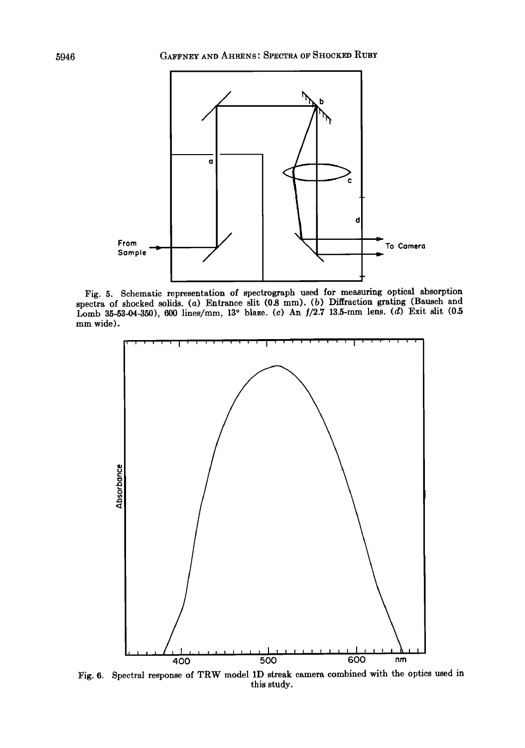

Fig. 5. Schematic representation of spectrograph used for measuring optical absorption **spectra of shocked solids. (a) Entrance slit (0.8 mm). (b) Diffraction grating (Bausch and**  Lomb 35-53-04-350), 600 lines/mm, 13° blaze. (c) An  $f/2.7$  13.5-mm lens. (d) Exit slit (0.5 **mm wide).** 



Fig. 6. Spectral response of TRW model 1D streak camera combined with the optics used in **this study.**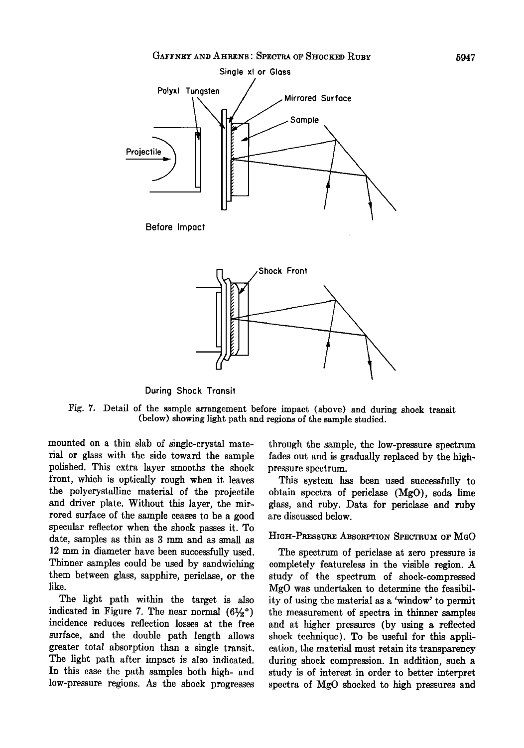

**During Shock Transit** 

**Fig. 7. Detail of the sample arrangement before impact (above) and during shock transit (below) showing light path and regions of the sample studied.** 

**mounted on a thin slab of single-crystal material or glass with the side toward the sample polished. This extra layer smooths the shock front, which is optically rough when it leaves the polycrystalline material of the projectile and driver plate. Without this layer, the mirrored surface of the sample ceases to be a good specular reflector when the shock passes it. To date, samples as thin as 3 mm and as small as 12 mm in diameter have been successfully used. Thinner samples could be used by sandwiching them between glass, sapphire, periclase, or the like.** 

**The light path within the target is also**  indicated in Figure 7. The near normal  $(6\frac{1}{2})^{\circ}$ **incidence reduces reflection losses at the free surface, and the double path length allows greater total absorption than a single transit. The light path after impact is also indicated. In this case the path samples both high- and low-pressure regions. As the shock progresses** 

**through the sample, the low-pressure spectrum fades out and is gradually replaced by the highpressure spectrum.** 

**This system has been used successfully to obtain spectra of periclase (MgO), soda lime glass, and ruby. Data for periclase and ruby are discussed below.** 

## **HIGH-PRESSURE ABSORPTION SPECTRUM OF MGO**

**The spectrum of periclase at zero pressure is completely featureless in the visible region. A study of the spectrum of shock-compressed MgO was undertaken to determine the feasibility of using the material as a 'window' to permit the measurement of spectra in thinner samples and at higher pressures (by using a reflected shock technique). To be useful for this application, the material must retain its transparency during shock compression. In addition, such a study is of interest in order to better interpret spectra of MgO shocked to high pressures and**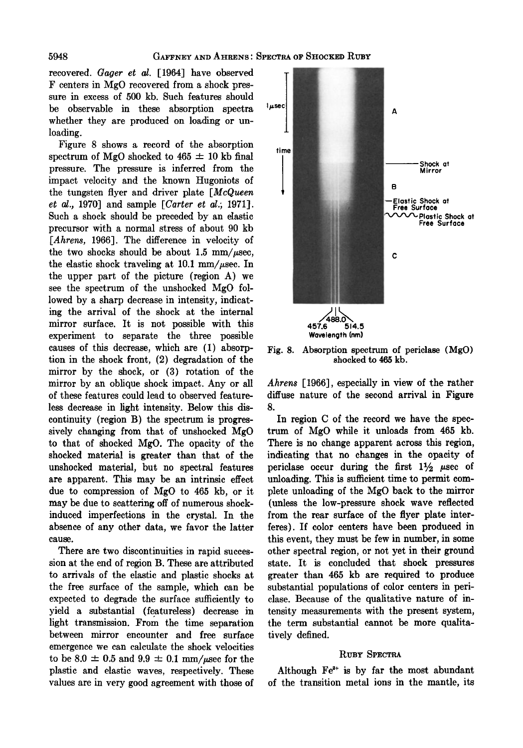**recovered. Gager et al. [1964] have observed F centers in MgO recovered from a shock pressure in excess of 500 kb. Such features should be observable in these absorption spectra whether they are produced on loading or unloading.** 

**Figure 8 shows a record of the absorption**  spectrum of MgO shocked to  $465 \pm 10$  kb final **pressure. The pressure is inferred from the impact velocity and the known Hugoniots of the tungsten flyer and driver plate [McQueen et al., 1970] and sample [Carter et al.; 1971]. Such a shock should be preceded by an elastic precursor with a normal stress of about 90 kb [Ahrens, 1966]. The difference in velocity of**  the two shocks should be about 1.5  $mm/\mu$ sec, the elastic shock traveling at  $10.1 \text{ mm}/\mu \text{sec}$ . In **the upper part of the picture (region A) we see the spectrum of the unshocked MgO followed by a sharp decrease in intensity, indicating the arrival of the shock at the internal mirror surface. It is not possible with this experiment to separate the three possible causes of this decrease, which are (1) absorption in the shock front, (2) degradation of the mirror by the shock, or (3) rotation of the mirror by an oblique shock impact. Any or all of these features could lead to observed featureless decrease in light intensity. Below this discontinuity (region B) the spectrum is progressively changing from that of unshocked MgO to that of shocked MgO. The opacity of the shocked material is greater than that of the unshocked material, but no spectral features are apparent. This may be an intrinsic effect due to compression of MgO to 465 kb, or it may be due to scattering off of numerous shockinduced imperfections in the crystal. In the absence of any other data, we favor the latter cause.** 

**There are two discontinuities in rapid succession at the end of region B. These are attributed to arrivals of the elastic and plastic shocks at the free surface of the sample, which can be expected to degrade the surface sufficiently to yield a substantial (featureless) decrease in light transmission. From the time separation between mirror encounter and free surface emergence we can calculate the shock velocities**  to be  $8.0 \pm 0.5$  and  $9.9 \pm 0.1$  mm/ $\mu$ sec for the **plastic and elastic waves, respectively. These values are in very good agreement with those of** 



**Fig. 8. Absorption spectrum of periclase (MgO) shocked to 465 kb.** 

**Ahrens [1966], especially in view of the rather diffuse nature of the second arrival in Figure 8.** 

**In region C of the record we have the spectrum of MgO while it unloads from 465 kb. There is no change apparent across this region, indicating that no changes in the opacity of**  periclase occur during the first  $1\frac{1}{2}$  usec of unloading. This is sufficient time to permit com**plete unloading of the MgO back to the mirror (unless the low-pressure shock wave reflected from the rear surface of the flyer plate interferes). If color centers have been produced in this event, they must be few in number, in some other spectral region, or not yet in their ground state. It is concluded that shock pressures greater than 465 kb are required to produce substantial populations of color centers in periclase. Because of the qualitative nature of intensity measurements with the present system, the term substantial cannot be more qualitatively defined.** 

#### **RUBY SPECTRA**

Although Fe<sup>2+</sup> is by far the most abundant **of the transition metal ions in the mantle, its**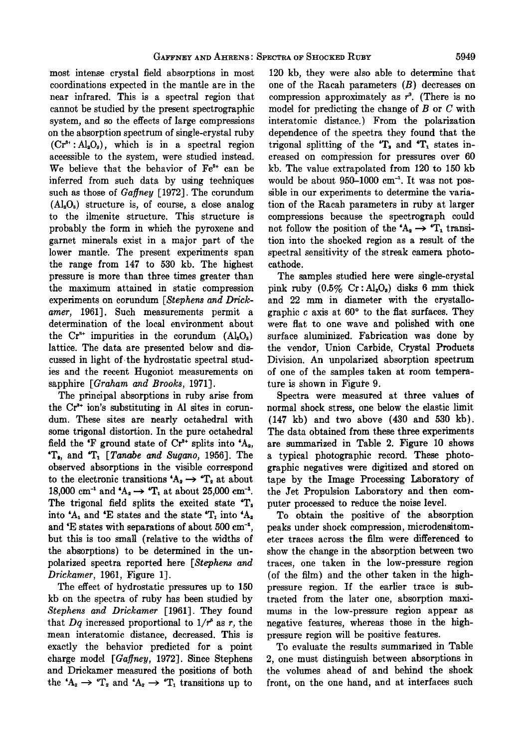**most intense crystal field absorptions in most coordinations expected in the mantle are in the near infrared. This is a spectral region that cannot be studied by the present spectrographic system, and so the effects of large compressions on the absorption spectrum of single-crystal ruby (Cr3•':A1203), which is in a spectral region accessible to the system, were studied instead.**  We believe that the behavior of Fe<sup>2+</sup> can be **inferred from such data by using techniques**  such as those of *Gaffney* [1972]. The corundum **(Al•03) structure is, of course, a close analog to the ilmenite structure. This structure is probably the form in which the pyroxene and garnet minerals exist in a maior part of the lower mantle. The present experiments span the range from 147 to 530 kb. The highest pressure is more than three times greater than the maximum attained in static compression experiments on corundum [Stephens and Drickamer, 1961]. Such measurements permit a determination of the local environment about**  the  $Cr^{*+}$  impurities in the corundum  $(Al_2O_3)$ **lattice. The data are presented below and discussed in light of.the hydrostatic spectral studies and the recent Hugoniot measurements on sapphire [Graham and Brooks, 1971].** 

**The principal absorptions in ruby arise from**  the Cr<sup>3+</sup> ion's substituting in Al sites in corun**dum. These sites are nearly octahedral with some trigonal distortion. In the pure octahedral**  field the  $\mathbf{F}$  ground state of  $\mathbf{C} \mathbf{r}^{3+}$  splits into  $\mathbf{A}_2$ , **'T,, and 'T• [Tanabe and Sugano, 1956]. The observed absorptions in the visible correspond**  to the electronic transitions  $A_2 \rightarrow T_2$  at about 18,000 cm<sup>-1</sup> and  $A_2 \to T_1$  at about 25,000 cm<sup>-1</sup>. **The trigonal field splits the excited state 'T•**  into  $^4$ A<sub>1</sub> and  $^4$ E states and the state  $^4$ T<sub>1</sub> into  $^4$ A<sub>2</sub> and 'E states with separations of about 500 cm<sup>-1</sup>, **but this is too small (relative to the widths of the absorptions) to be determined in the unpolarized spectra reported here [Stephens and Drickarner, 1961, Figure 1].** 

**The effect of hydrostatic pressures up to 150 kb on the spectra of ruby has been studied by**  Stephens and Drickamer [1961]. They found that  $Dq$  increased proportional to  $1/r^2$  as r, the **mean interatomic distance, decreased. This is exactly the behavior predicted for a point**  charge model [Gaffney, 1972]. Since Stephens **and Drickamer measured the positions of both**  the  ${^4A}_2 \rightarrow {^4T}_2$  and  ${^4A}_2 \rightarrow {^4T}_1$  transitions up to

**120 kb, they were also able to determine that one of the Racah parameters (B) decreases on**  compression approximately as  $r^3$ . (There is no **model for predicting the change of B or C with interatomic distance.) From the polarization dependence of the spectra they found that the**  trigonal splitting of the 'T<sub>2</sub> and 'T<sub>1</sub> states in**creased on compkession for pressures over 60 kb. The value extrapolated from 120 to 150 kb**  would be about 950-1000 cm<sup>-1</sup>. It was not pos**sible in our experiments to determine the variation of the Racah parameters in ruby at larger compressions because the spectrograph could**  not follow the position of the  $A_2 \rightarrow T_1$  transi**tion into the shocked region as a result of the spectral sensitivity of the streak camera photocathode.** 

**The samples studied here were single-crystal pink ruby (0.5% Cr :Al•O•) disks 6 mm thick and 22 mm in diameter with the crystallo**graphic c axis at 60<sup>°</sup> to the flat surfaces. They **were fiat to one wave and polished with one surface aluminized. Fabrication was done by the vendor, Union Carbide, Crystal Products Division. An unpolarized absorption spectrum of one of the samples taken at room temperature is shown in Figure 9.** 

**Spectra were measured at three values of normal shock stress, one below the elastic limit (147 kb) and two above (430 and 530 kb). The data obtained from these three experiments are summarized in Table 2. Figure 10 shows a typical photographic record. These photographic negatives were digitized and stored on tape by the Image Processing Laboratory of the Jet Propulsion Laboratory and then computer processed to reduce the noise level.** 

**To obtain the positive of the absorption peaks under shock compression, microdensitometer traces across the film were differenced to show the change in the absorption between two traces, one taken in the low-pressure region (of the film) and the other taken in the highpressure region. If the earlier trace is subtracted from the later one, absorption maximums in the low-pressure region appear as negative features, whereas those in the highpressure region will be positive features.** 

**To evaluate the results summarized in Table 2, one must distinguish between absorptions in the volumes ahead of and behind the shock front, on the one hand, and at interfaces such**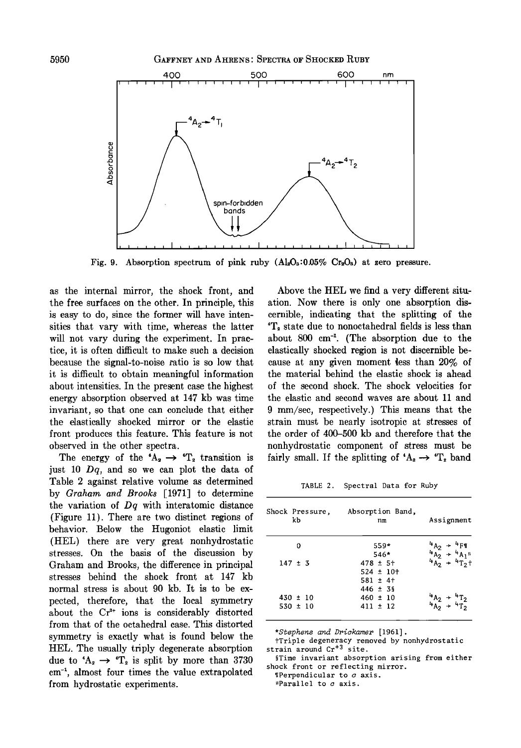

Fig. 9. Absorption spectrum of pink ruby  $(A_8, 0.05\% \text{ Cr}_2O_8)$  at zero pressure.

as the internal mirror, the shock front, and Above the HEL we find a very different situ-<br>the free surfaces on the other. In principle, this ation. Now there is only one absorption disthe free surfaces on the other. In principle, this is easy to do, since the former will have intensities that vary with time, whereas the latter  $T_a$  state due to nonoctahedral fields is less than will not vary during the experiment. In prac- about 800 cm<sup>-1</sup>. (The absorption due to the will not vary during the experiment. In prac-<br>tice, it is often difficult to make such a decision elastically shocked region is not discernible betice, it is often difficult to make such a decision elastically shocked region is not discernible be-<br>because the signal-to-noise ratio is so low that cause at any given moment less than 20% of because the signal-to-noise ratio is so low that cause at any given moment less than 20% of it is difficult to obtain meaningful information the material behind the elastic shock is ahead about intensities. In the present case the highest of the second shock. The shock velocities for energy absorption observed at 147 kb was time the elastic and second waves are about 11 and energy absorption observed at 147 kb was time the elastic and second waves are about 11 and invariant, so that one can conclude that either 9 mm/sec, respectively.) This means that the invariant, so that one can conclude that either 9 mm/sec, respectively.) This means that the clastically shocked mirror or the elastic strain must be nearly isotropic at stresses of the elastically shocked mirror or the elastic strain must be nearly isotropic at stresses of front produces this feature. This feature is not the order of 400–500 kb and therefore that the **front produces this feature. This feature is not the order of 400-500 kb and therefore that the** 

**just 10 Dq, and so we can plot the data of Table 2 against relative volume as determined by Graham. a•d Brooks [1971] to determine the variation of Dq with interatomic distance (Figure 11). There are two distinct regions of behavior. Below the Hugoniot elastic limit (HEL) there are very great nonhydrostatic stresses. On the basis of the discussion by Graham and Brooks, the difference in principal stresses behind the shock front at 147 kb normal stress is about 90 kb. It is to be expected, therefore, that the local wmmetry about the C½ + ions is considerably distorted from that of the octahedral case. This distorted symmetry is exactly what is found below the HEL.** The usually triply degenerate absorption strain around  $Cr^{+3}$  site.<br>due to  $A \rightarrow T$  is split by more than 3730 **STime invariant absorption arising from either** due to  ${}^tA_2 \rightarrow {}^tT_2$  is split by more than 3730 sime invariant absorption aris cm<sup>-1</sup>, almost four times the value extrapolated **perpendicular to c** axis.  $em^{-1}$ , almost four times the value extrapolated **operation** is the calcular to carrier of the case of the perpendicular to carrier of  $em$  **c** from hydrostatic experiments.

cernible, indicating that the splitting of the the material behind the elastic shock is ahead served in the other spectra.<br>The energy of the  $A_2 \rightarrow T_2$  transition is fairly small. If the splitting of  $A_2 \rightarrow T_2$  band fairly small. If the splitting of  ${}^tA_2 \rightarrow {}^tT_2$  band

**TABLE 2. Spectral Data for Ruby** 

| Shock Pressure,<br>kb | Absorption Band,<br>nm | Assignment                                                                                     |
|-----------------------|------------------------|------------------------------------------------------------------------------------------------|
| 0                     | $559*$                 | ${}^{4}A_{2}$ + ${}^{4}F1$<br>${}^{4}A_{2}$ + ${}^{4}A_{1}$<br>${}^{4}A_{2}$ + ${}^{4}T_{2}$ + |
|                       | $546*$                 |                                                                                                |
| $147 \pm 3$           | $478 \pm 5+$           | $H_{T_2}$ +                                                                                    |
|                       | $524 \pm 10+$          |                                                                                                |
|                       | $581 \pm 4$ +          |                                                                                                |
|                       | $446 \pm 39$           |                                                                                                |
| $430 \pm 10$          | $460 \pm 10$           |                                                                                                |
| $530 \pm 10$          | $411 \pm 12$           |                                                                                                |

**\*Stephens and Drickamer [1961].** 

fTriple degeneracy removed by nonhydrostatic strain around  $Cr^{+3}$  site.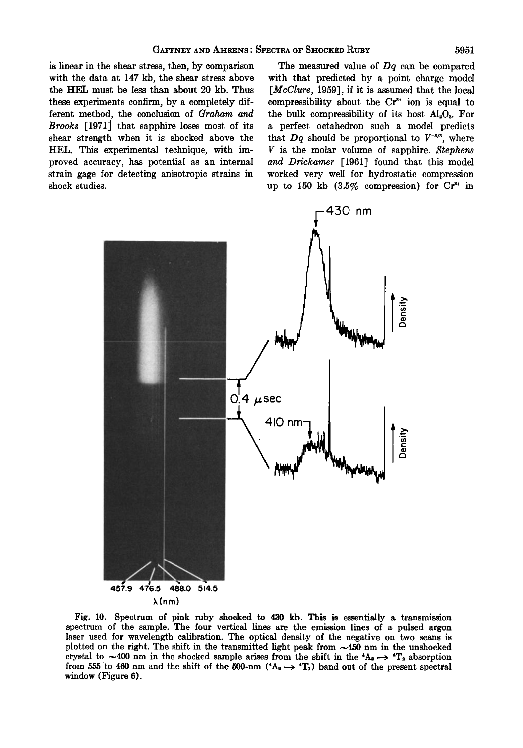**is linear in the shear stress, then, by comparison with the data at 147 kb, the shear stress above the HEL must be less than about 20 kb. Thus these experiments confirm, by a completely different method, the conclusion of Graham and Brooks [1971] that sapphire loses most of its shear strength when it is shocked above the HEL. This experimental technique, with improved accuracy, has potential as an internal strain gage for detecting anisotropic strains in shock studies.** 

**The measured value of Dq can be compared with that predicted by a point charge model [McClure, 1959], if it is assumed that the local**  compressibility about the Cr<sup>3+</sup> ion is equal to **the bulk compressibility of its host A120•. For a perfect octahedron such a model predicts**  that  $Dq$  should be proportional to  $V^{-5/3}$ , where **V is the molar volume of sapphire. Stephens and Drickamer [1961] found that this model worked very well for hydrostatic compression up to 150 kb (3.5% compression) for C½ + in** 



**Fig. 10. Spectrum of pink ruby shocked to 430 kb. This is essentially a transmission spectrum of the sample. The four vertical lines are the emission lines of a pulsed argon**  laser used for wavelength calibration. The optical density of the negative on two scans is plotted on the right. The shift in the transmitted light peak from  $\sim$ 450 nm in the unshocked crystal to  $\sim$ 400 nm in the shocked sample arises from the shift in the  ${}^4A_8 \rightarrow {}^4T_2$  absorption from 555 to 460 nm and the shift of the 500-nm  $(A_2 \rightarrow T_1)$  band out of the present spectral **window (Figure 6).**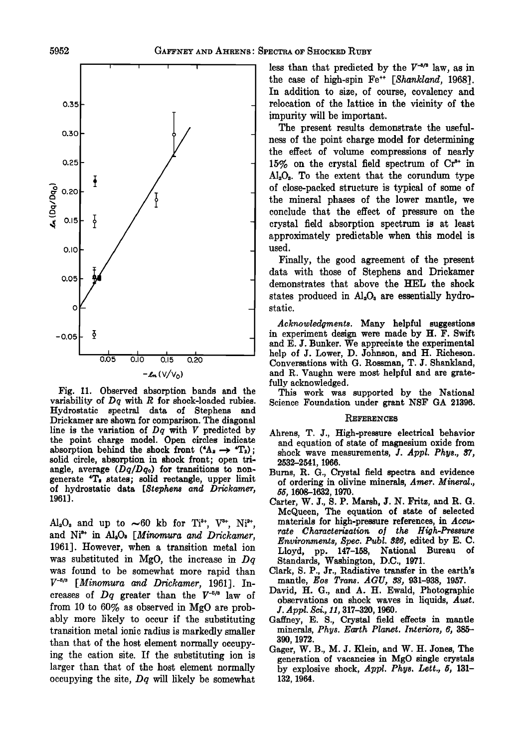

**Fig. 11. Observed absorption bands and the variability of Dq with R for shock-loaded rubies. Hydrostatic spectral data of Stephens and Drickamer are shown for comparison. The diagonal line is the variation of Dq with V predicted by the point charge model. Open circles indicate**  absorption behind the shock front  $(4A_2 \rightarrow 4T_2)$ ; **solid circle, absorption in shock front; open tri**angle, average  $(Dq/Dq_o)$  for transitions to non**generate 4T• states; solid rectangle, upper limit**  of hydrostatic data [Stephens and Drickamer, **1961].** 

 $Al_2O_3$  and up to  $\sim 60$  kb for Ti<sup>3+</sup>, V<sup>3+</sup>, Ni<sup>2+</sup>, and Ni<sup>3+</sup> in Al<sub>2</sub>O<sub>2</sub> [Minomura and Drickamer, **1961]. However, when a transition metal ion was substituted in MgO, the increase in Dq was found to be somewhat more rapid than V -•/• [Minomura and Drickamer, 1961]. In**creases of  $Dq$  greater than the  $V^{-5/3}$  law of **from 10 to 60% as observed in MgO are probably more likely to occur if the substituting transition metal ionic radius is markedly smaller than that of the host element normally occupying the cation site. If the substituting ion is larger than that of the host element normally occupying the site, Dq will likely be somewhat** 

less than that predicted by the  $V^{-5/8}$  law, as in the case of high-spin Fe<sup>++</sup> [Shankland, 1968]. **In addition to size, of course, covalency and relocation of the lattice in the vicinity of the impurity will be important.** 

**The present results demonstrate the usefulness of the point charge model for determining the effect of volume compressions of nearly**  15% on the crystal field spectrum of Cr<sup>3+</sup> in **Al•O•. To the extent that the corundum type of close-packed structure is typical of some of the mineral phases of the lower mantle, we conclude that the effect of pressure on the crystal field absorption spectrum is at least approximately predictable when this model is used.** 

**Finally, the good agreement of the present data with those of Stephens and Drickamer demonstrates that above the HEL the shock**  states produced in Al<sub>2</sub>O<sub>3</sub> are essentially hydro**static.** 

**Acknowledgments. Many helpful suggestions in experiment design were made by H. F. Swift and E. J. Bunker. We appreciate the experimental help of J. Lower, D. Johnson, and H. Richeson. Conversations with G. Rossman, T. J. Shankland, and R. Vaughn were most helpful and are gratefully acknowledged.** 

**This work was supported by the National Science Foundation under grant NSF GA 21396.** 

#### **REFERENCES**

- **Ahrens, T. J., High-pressure electrical behavior and equation of state of magnesium oxide from shock wave measurements, J. Appl. Phys., 37, 2532-2541, 1966.**
- **Bums, R. G., Crystal field spectra and evidence of ordering in olivine minerals, Amer. Mineral., 55, 1608-1632, 1970.**
- **Carter, W. J., S. P. Marsh, J. N. Fritz, and R. G. McQueen, The equation of state of selected materials for high-pressure references, in Accurate •Characterization o• the High-Pressure Environments, Spec. Publ. 326, edited by E. C. Lloyd, pp. 147-158, National Bureau of Standards, Washington, D.C., 1971.**
- Clark, S. P., Jr., Radiative transfer in the earth's **mantle, Eos Trans. A GU, 38, 931-938, 1957.**
- **David, H. G., and A. H. Ewald, Photographic observations on shock waves in liquids, Aust. J. Appl. Sci., 11, 317-320, 1960.**
- **Gaffhey, E. S., Crystal field effects in marie minerals, Phys. Earth Planet. Interiors, 6, 385- 390, 1972.**
- **Gager, W. B., M. J. Klein, and W. H. Jones, The generation of vacancies in MgO single crystals by explosive shock, Appl. Phys. Lett., 5, 131- 132, 1964.**